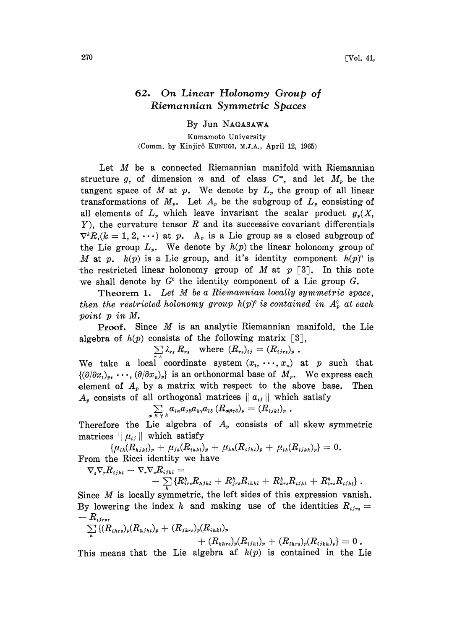## 62. On Linear Holonomy Group of Riemannian Symmetric Spaces

By Jun NAGASAWA

Kumamoto University (Comm. by Kinjirô KUNUGI, M.J.A., April 12, 1965)

Let M be a connected Riemannian manifold with Riemannian structure g, of dimension n and of class  $C^{\infty}$ , and let  $M_p$  be the tangent space of M at p. We denote by  $L<sub>p</sub>$  the group of all linear transformations of  $M_p$ . Let  $A_p$  be the subgroup of  $L_p$  consisting of all elements of  $L_p$  which leave invariant the scalar product  $g_p(X, \cdot)$  $Y$ ), the curvature tensor R and its successive covariant differentials  $\nabla^k R$ ,  $(k = 1, 2, \dots)$  at p. A<sub>p</sub> is a Lie group as a closed subgroup of the Lie group  $L_p$ . We denote by  $h(p)$  the linear holonomy group of M at p.  $h(p)$  is a Lie group, and it's identity component  $h(p)$ <sup>o</sup> is the restricted linear holonomy group of M at  $p \lceil 3 \rceil$ . In this note we shall denote by  $G^0$  the identity component of a Lie group G.

Theorem 1. Let M be a Riemannian locally symmetric space, then the restricted holonomy group  $h(p)$ <sup>o</sup> is contained in  $A_p^0$  at each point p in M.

Proof. Since M is an analytic Riemannian manifold, the Lie algebra of  $h(p)$  consists of the following matrix [3],

 $\lambda_{rs} R_{rs}$  where  $(R_{rs})_{ij} = (R_{ijrs})_{r}$ 

We take a local coordinate system  $(x_1, \dots, x_n)$  at p such that  $\{(\partial/\partial x_1)_n, \cdots, (\partial/\partial x_n)_n\}$  is an orthonormal base of  $M_n$ . We express each element of  $A_p$  by a matrix with respect to the above base. Then A<sub>p</sub> consists of all orthogonal matrices  $||a_{ij}||$  which satisfy

$$
\sum_{\alpha \in \mathcal{S}} a_{i\alpha} a_{j\beta} a_{k\gamma} a_{l\delta} \left( R_{\alpha\beta\gamma\delta} \right)_p = \left( R_{ijkl} \right)_p.
$$

Therefore the Lie algebra of  $A_p$  consists of all skew symmetric matrices  $|| \mu_{ij} ||$  which satisfy

 $\{\mu_{ih}(R_{hjkl})_p + \mu_{jh}(R_{ihkl})_p + \mu_{kh}(R_{ijhl})_p + \mu_{lh}(R_{ijkh})_p\} = 0.$ 

From the Ricci identity we have  
\n
$$
\nabla_s \nabla_r R_{ijkl} - \nabla_r \nabla_s R_{ijkl} = - \sum_k \{R_{irs}^h R_{hjkl} + R_{jrs}^h R_{ihkl} + R_{krs}^h R_{ijkl} + R_{lrs}^h R_{ijkl}\}.
$$

Since M is locally symmetric, the left sides of this expression vanish. By lowering the index h and making use of the identities  $R_{ijrs} =$  $-R_{ijrs},$ 

$$
\sum_{h} \left\{ (R_{i h r s})_p (R_{h j h l})_p + (R_{j h r s})_p (R_{i h h l})_p + (R_{l h r s})_p (R_{i j h l})_p + (R_{l h r s})_p (R_{i j h h})_p \right\} = 0.
$$

This means that the Lie algebra af  $h(p)$  is contained in the Lie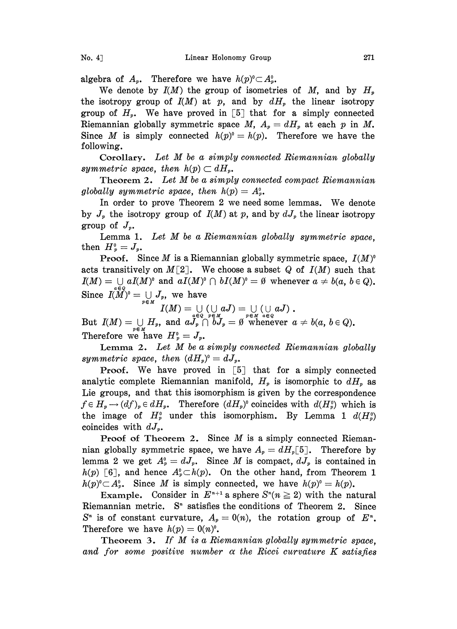algebra of  $A_p$ . Therefore we have  $h(p)^\circ \subset A_p^\circ$ .

We denote by  $I(M)$  the group of isometries of M, and by  $H_p$ the isotropy group of  $I(M)$  at p, and by  $dH_p$  the linear isotropy group of  $H_p$ . We have proved in [5] that for a simply connected Riemannian globally symmetric space M,  $A_p = dH_p$  at each p in M. Since M is simply connected  $h(p)^0=h(p)$ . Therefore we have the following.

Corollary. Let  $M$  be a simply connected Riemannian globally symmetric space, then  $h(p) \subset dH_p$ .

Theorem 2. Let  $M$  be a simply connected compact Riemannian globally symmetric space, then  $h(p) = A_p^0$ .

In order to prove Theorem <sup>2</sup> we need some lemmas. We denote by  $J_p$  the isotropy group of  $I(M)$  at p, and by  $dJ_p$  the linear isotropy group of  $J_{\nu}$ .

Lemma 1. Let  $M$  be a Riemannian globally symmetric space. then  $H_p^0 = J_p$ .

**Proof.** Since M is a Riemannian globally symmetric space,  $I(M)^\circ$ acts transitively on  $M[2]$ . We choose a subset Q of  $I(M)$  such that  $I(M) = \bigcup aI(M)^{o}$  and  $aI(M)^{o} \cap bI(M)^{o} = \emptyset$  whenever  $a \neq b(a, b \in Q)$ .  $\begin{array}{l} I(M)=\bigcup\limits_{a\in Q}aI(M)^{o}\text{ and }aI(M)^{o}\cap bI(M)^{o}=\emptyset\text{ when}\ \text{Since }\ I(M)^{o}=\bigcup\limits_{p\in M}J_{p},\text{ we have}\qquad \qquad \qquad I(M)=\bigcup\limits_{\cup} \left(\bigcup\limits_{\alpha}aJ\right)=\bigcup\limits_{\cup} \left(\cup\limits_{\alpha}dJ\right). \end{array}$ 

But  $I(M) = \bigcup_{n \in \mathbb{N}} H_n$ , and  $aJ_p \cap bJ_p = \emptyset$  whenever  $a \neq b(a, b \in Q)$ . Therefore we have  $H_p^0 = J_p$ .

Lemma 2. Let  $M$  be a simply connected Riemannian globally symmetric space, then  $(dH_p)^0 = dJ_p$ .

**Proof.** We have proved in  $\begin{bmatrix} 5 \end{bmatrix}$  that for a simply connected analytic complete Riemannian manifold,  $H_p$  is isomorphic to  $dH_p$  as Lie groups, and that this isomorphism is given by the correspondence  $f \in H_p \longrightarrow (df)_p \in dH_p$ . Therefore  $(dH_p)$ <sup>o</sup> coincides with  $d(H_p)$ <sup>o</sup> which is the image of  $H_p^0$  under this isomorphism. By Lemma 1  $d(H_p^0)$ coincides with  $dJ_{\nu}$ .

Proof of Theorem 2. Since  $M$  is a simply connected Riemannian globally symmetric space, we have  $A_p = dH_p[5]$ . Therefore by lemma 2 we get  $A_p^0 = dJ_p$ . Since M is compact,  $dJ_p$  is contained in  $h(p)$  [6], and hence  $A_p^0 \subset h(p)$ . On the other hand, from Theorem 1  $h(p)^{0} \subset A_{p}^{0}$ . Since M is simply connected, we have  $h(p)^{0} = h(p)$ .

 $C \subset A_p^o$ . Since *M* is simply connected, we have  $h(p)^o = h(p)$ .<br>Example. Consider in  $E^{n+1}$  a sphere  $S^n(n \ge 2)$  with the natural Riemannian metric.  $S<sup>n</sup>$  satisfies the conditions of Theorem 2. Since  $S<sup>n</sup>$  is of constant curvature,  $A_p=0(n)$ , the rotation group of  $E<sup>n</sup>$ . Therefore we have  $h(p) = 0(n)^0$ .

Theorem 3. If M is a Riemannian globally symmetric space. and for some positive number  $\alpha$  the Ricci curvature K satisfies